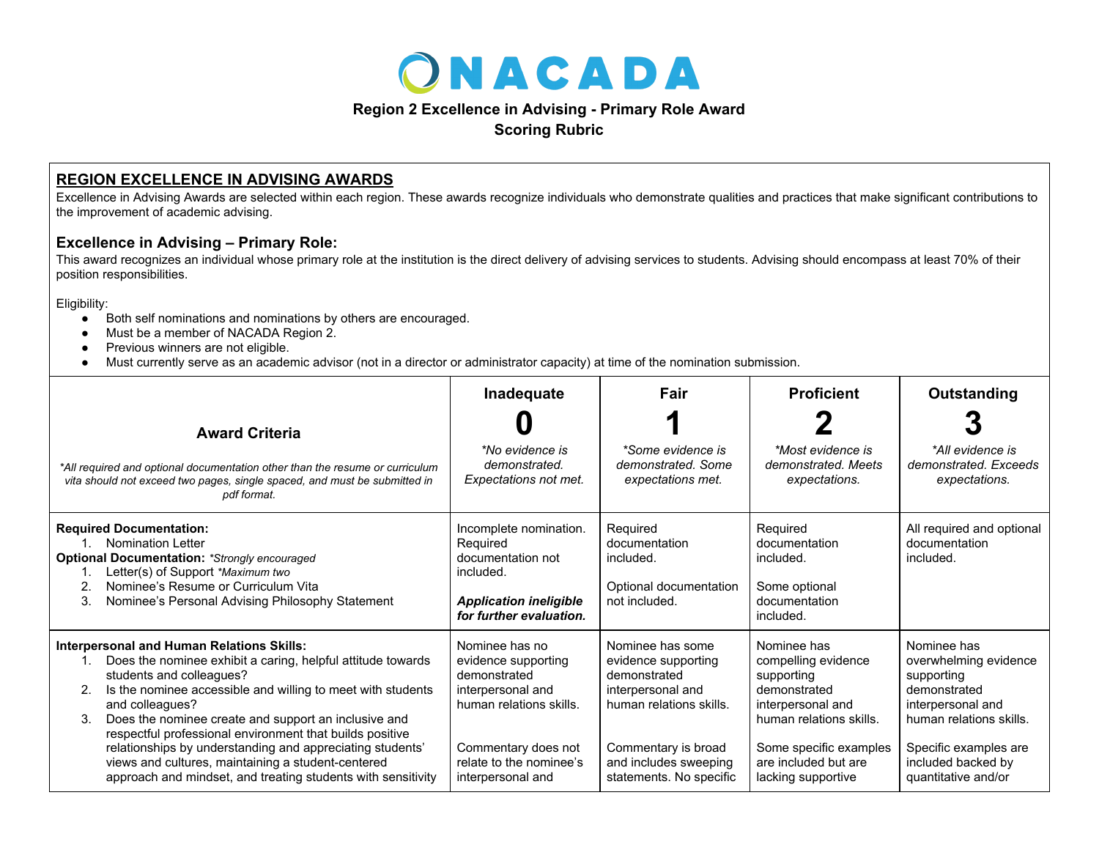

## **Region 2 Excellence in Advising - Primary Role Award**

**Scoring Rubric**

## **REGION EXCELLENCE IN ADVISING AWARDS**

Excellence in Advising Awards are selected within each region. These awards recognize individuals who demonstrate qualities and practices that make significant contributions to the improvement of academic advising.

## **Excellence in Advising – Primary Role:**

This award recognizes an individual whose primary role at the institution is the direct delivery of advising services to students. Advising should encompass at least 70% of their position responsibilities.

Eligibility:

- Both self nominations and nominations by others are encouraged.
- Must be a member of NACADA Region 2.
- Previous winners are not eligible.
- Must currently serve as an academic advisor (not in a director or administrator capacity) at time of the nomination submission.

|                                                                                                                                                                                                                                                                                                                                                                                                                                                                                                                                            | Inadequate                                                                                                                                                                   | Fair                                                                                                                                                                               | <b>Proficient</b>                                                                                                                                                                        | Outstanding                                                                                                                                                                              |
|--------------------------------------------------------------------------------------------------------------------------------------------------------------------------------------------------------------------------------------------------------------------------------------------------------------------------------------------------------------------------------------------------------------------------------------------------------------------------------------------------------------------------------------------|------------------------------------------------------------------------------------------------------------------------------------------------------------------------------|------------------------------------------------------------------------------------------------------------------------------------------------------------------------------------|------------------------------------------------------------------------------------------------------------------------------------------------------------------------------------------|------------------------------------------------------------------------------------------------------------------------------------------------------------------------------------------|
| <b>Award Criteria</b><br>*All required and optional documentation other than the resume or curriculum<br>vita should not exceed two pages, single spaced, and must be submitted in<br>pdf format.                                                                                                                                                                                                                                                                                                                                          | *No evidence is<br>demonstrated.<br>Expectations not met.                                                                                                                    | *Some evidence is<br>demonstrated. Some<br>expectations met.                                                                                                                       | *Most evidence is<br>demonstrated. Meets<br>expectations.                                                                                                                                | *All evidence is<br>demonstrated. Exceeds<br>expectations.                                                                                                                               |
| <b>Required Documentation:</b><br><b>Nomination Letter</b><br><b>Optional Documentation: *Strongly encouraged</b><br>Letter(s) of Support *Maximum two<br>Nominee's Resume or Curriculum Vita<br>3.<br>Nominee's Personal Advising Philosophy Statement                                                                                                                                                                                                                                                                                    | Incomplete nomination.<br>Required<br>documentation not<br>included.<br><b>Application ineligible</b><br>for further evaluation.                                             | Required<br>documentation<br>included.<br>Optional documentation<br>not included.                                                                                                  | Required<br>documentation<br>included.<br>Some optional<br>documentation<br>included.                                                                                                    | All required and optional<br>documentation<br>included.                                                                                                                                  |
| <b>Interpersonal and Human Relations Skills:</b><br>Does the nominee exhibit a caring, helpful attitude towards<br>students and colleagues?<br>Is the nominee accessible and willing to meet with students<br>2.<br>and colleagues?<br>Does the nominee create and support an inclusive and<br>respectful professional environment that builds positive<br>relationships by understanding and appreciating students'<br>views and cultures, maintaining a student-centered<br>approach and mindset, and treating students with sensitivity | Nominee has no<br>evidence supporting<br>demonstrated<br>interpersonal and<br>human relations skills.<br>Commentary does not<br>relate to the nominee's<br>interpersonal and | Nominee has some<br>evidence supporting<br>demonstrated<br>interpersonal and<br>human relations skills.<br>Commentary is broad<br>and includes sweeping<br>statements. No specific | Nominee has<br>compelling evidence<br>supporting<br>demonstrated<br>interpersonal and<br>human relations skills.<br>Some specific examples<br>are included but are<br>lacking supportive | Nominee has<br>overwhelming evidence<br>supporting<br>demonstrated<br>interpersonal and<br>human relations skills.<br>Specific examples are<br>included backed by<br>quantitative and/or |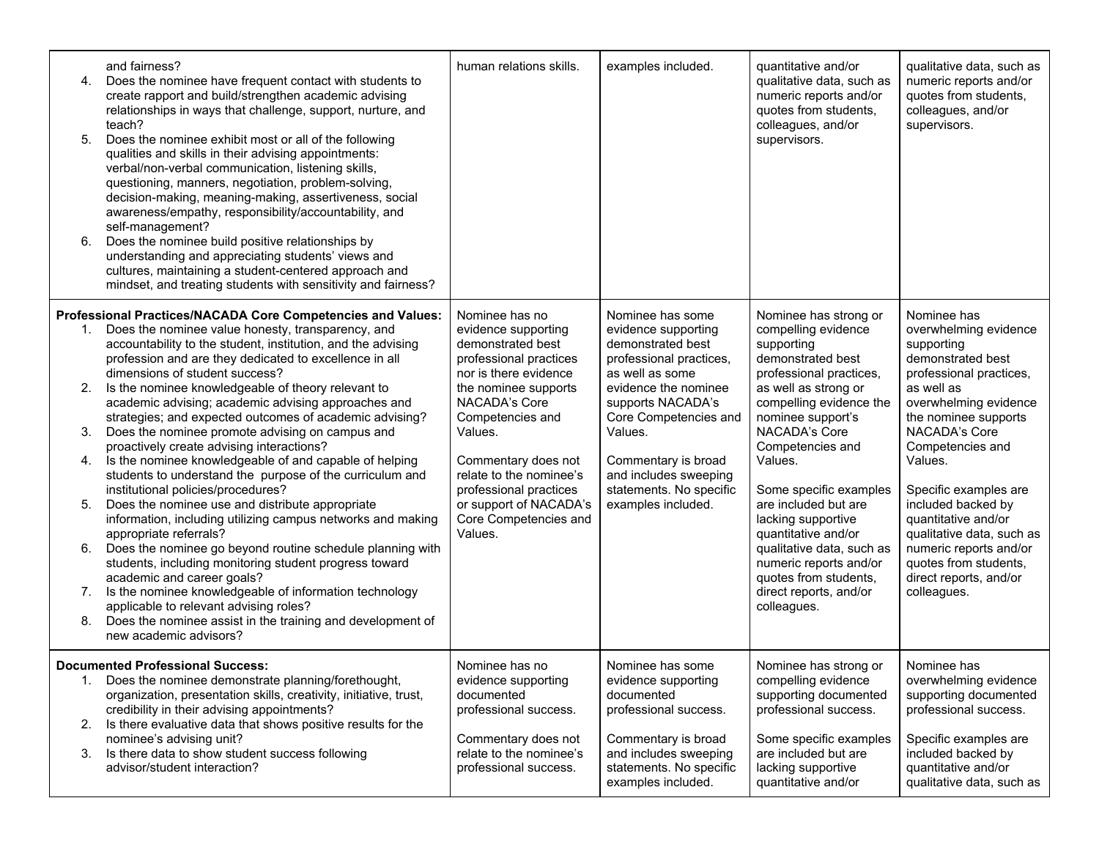| 4.<br>5.<br>6.                   | and fairness?<br>Does the nominee have frequent contact with students to<br>create rapport and build/strengthen academic advising<br>relationships in ways that challenge, support, nurture, and<br>teach?<br>Does the nominee exhibit most or all of the following<br>qualities and skills in their advising appointments:<br>verbal/non-verbal communication, listening skills,<br>questioning, manners, negotiation, problem-solving,<br>decision-making, meaning-making, assertiveness, social<br>awareness/empathy, responsibility/accountability, and<br>self-management?<br>Does the nominee build positive relationships by<br>understanding and appreciating students' views and<br>cultures, maintaining a student-centered approach and<br>mindset, and treating students with sensitivity and fairness?                                                                                                                                                                                               | human relations skills.                                                                                                                                                                                                                                                                                                         | examples included.                                                                                                                                                                                                                                                                           | quantitative and/or<br>qualitative data, such as<br>numeric reports and/or<br>quotes from students,<br>colleagues, and/or<br>supervisors.                                                                                                                                                                                                                                                                         | qualitative data, such as<br>numeric reports and/or<br>quotes from students,<br>colleagues, and/or<br>supervisors.                                                                                                                                                                                                                                                                                |
|----------------------------------|-------------------------------------------------------------------------------------------------------------------------------------------------------------------------------------------------------------------------------------------------------------------------------------------------------------------------------------------------------------------------------------------------------------------------------------------------------------------------------------------------------------------------------------------------------------------------------------------------------------------------------------------------------------------------------------------------------------------------------------------------------------------------------------------------------------------------------------------------------------------------------------------------------------------------------------------------------------------------------------------------------------------|---------------------------------------------------------------------------------------------------------------------------------------------------------------------------------------------------------------------------------------------------------------------------------------------------------------------------------|----------------------------------------------------------------------------------------------------------------------------------------------------------------------------------------------------------------------------------------------------------------------------------------------|-------------------------------------------------------------------------------------------------------------------------------------------------------------------------------------------------------------------------------------------------------------------------------------------------------------------------------------------------------------------------------------------------------------------|---------------------------------------------------------------------------------------------------------------------------------------------------------------------------------------------------------------------------------------------------------------------------------------------------------------------------------------------------------------------------------------------------|
| 1.<br>2.<br>3.<br>4.<br>5.<br>6. | Professional Practices/NACADA Core Competencies and Values:<br>Does the nominee value honesty, transparency, and<br>accountability to the student, institution, and the advising<br>profession and are they dedicated to excellence in all<br>dimensions of student success?<br>Is the nominee knowledgeable of theory relevant to<br>academic advising; academic advising approaches and<br>strategies; and expected outcomes of academic advising?<br>Does the nominee promote advising on campus and<br>proactively create advising interactions?<br>Is the nominee knowledgeable of and capable of helping<br>students to understand the purpose of the curriculum and<br>institutional policies/procedures?<br>Does the nominee use and distribute appropriate<br>information, including utilizing campus networks and making<br>appropriate referrals?<br>Does the nominee go beyond routine schedule planning with<br>students, including monitoring student progress toward<br>academic and career goals? | Nominee has no<br>evidence supporting<br>demonstrated best<br>professional practices<br>nor is there evidence<br>the nominee supports<br>NACADA's Core<br>Competencies and<br>Values.<br>Commentary does not<br>relate to the nominee's<br>professional practices<br>or support of NACADA's<br>Core Competencies and<br>Values. | Nominee has some<br>evidence supporting<br>demonstrated best<br>professional practices,<br>as well as some<br>evidence the nominee<br>supports NACADA's<br>Core Competencies and<br>Values.<br>Commentary is broad<br>and includes sweeping<br>statements. No specific<br>examples included. | Nominee has strong or<br>compelling evidence<br>supporting<br>demonstrated best<br>professional practices,<br>as well as strong or<br>compelling evidence the<br>nominee support's<br>NACADA's Core<br>Competencies and<br>Values.<br>Some specific examples<br>are included but are<br>lacking supportive<br>quantitative and/or<br>qualitative data, such as<br>numeric reports and/or<br>quotes from students, | Nominee has<br>overwhelming evidence<br>supporting<br>demonstrated best<br>professional practices,<br>as well as<br>overwhelming evidence<br>the nominee supports<br>NACADA's Core<br>Competencies and<br>Values.<br>Specific examples are<br>included backed by<br>quantitative and/or<br>qualitative data, such as<br>numeric reports and/or<br>quotes from students,<br>direct reports, and/or |
| 7.<br>8.                         | Is the nominee knowledgeable of information technology<br>applicable to relevant advising roles?<br>Does the nominee assist in the training and development of<br>new academic advisors?                                                                                                                                                                                                                                                                                                                                                                                                                                                                                                                                                                                                                                                                                                                                                                                                                          |                                                                                                                                                                                                                                                                                                                                 |                                                                                                                                                                                                                                                                                              | direct reports, and/or<br>colleagues.                                                                                                                                                                                                                                                                                                                                                                             | colleagues.                                                                                                                                                                                                                                                                                                                                                                                       |
| 2.<br>3.                         | <b>Documented Professional Success:</b><br>Does the nominee demonstrate planning/forethought,<br>organization, presentation skills, creativity, initiative, trust,<br>credibility in their advising appointments?<br>Is there evaluative data that shows positive results for the<br>nominee's advising unit?<br>Is there data to show student success following<br>advisor/student interaction?                                                                                                                                                                                                                                                                                                                                                                                                                                                                                                                                                                                                                  | Nominee has no<br>evidence supporting<br>documented<br>professional success.<br>Commentary does not<br>relate to the nominee's<br>professional success.                                                                                                                                                                         | Nominee has some<br>evidence supporting<br>documented<br>professional success.<br>Commentary is broad<br>and includes sweeping<br>statements. No specific<br>examples included.                                                                                                              | Nominee has strong or<br>compelling evidence<br>supporting documented<br>professional success.<br>Some specific examples<br>are included but are<br>lacking supportive<br>quantitative and/or                                                                                                                                                                                                                     | Nominee has<br>overwhelming evidence<br>supporting documented<br>professional success.<br>Specific examples are<br>included backed by<br>quantitative and/or<br>qualitative data, such as                                                                                                                                                                                                         |